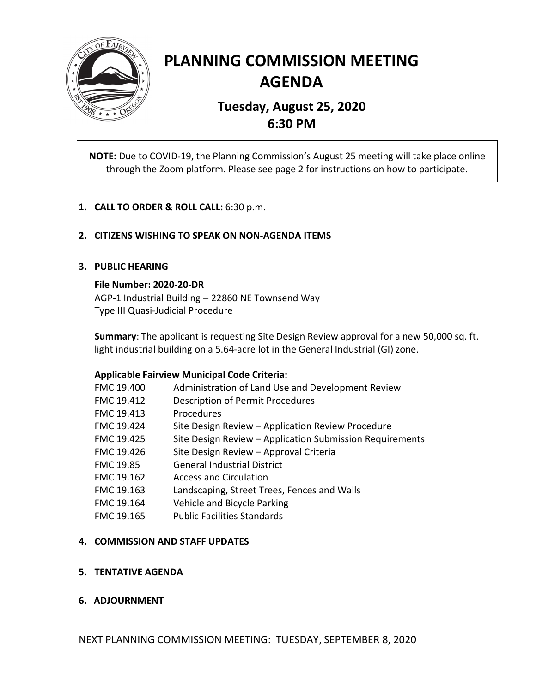

# **PLANNING COMMISSION MEETING AGENDA**

# **Tuesday, August 25, 2020 6:30 PM**

**NOTE:** Due to COVID-19, the Planning Commission's August 25 meeting will take place online through the Zoom platform. Please see page 2 for instructions on how to participate.

# **1. CALL TO ORDER & ROLL CALL:** 6:30 p.m.

# **2. CITIZENS WISHING TO SPEAK ON NON-AGENDA ITEMS**

#### **3. PUBLIC HEARING**

#### **File Number: 2020-20-DR**

AGP-1 Industrial Building - 22860 NE Townsend Way Type III Quasi-Judicial Procedure

**Summary**: The applicant is requesting Site Design Review approval for a new 50,000 sq. ft. light industrial building on a 5.64-acre lot in the General Industrial (GI) zone.

#### **Applicable Fairview Municipal Code Criteria:**

| FMC 19.400 | Administration of Land Use and Development Review        |
|------------|----------------------------------------------------------|
| FMC 19.412 | Description of Permit Procedures                         |
| FMC 19.413 | Procedures                                               |
| FMC 19.424 | Site Design Review - Application Review Procedure        |
| FMC 19.425 | Site Design Review - Application Submission Requirements |
| FMC 19.426 | Site Design Review - Approval Criteria                   |
| FMC 19.85  | <b>General Industrial District</b>                       |
| FMC 19.162 | <b>Access and Circulation</b>                            |
| FMC 19.163 | Landscaping, Street Trees, Fences and Walls              |
| FMC 19.164 | Vehicle and Bicycle Parking                              |
| FMC 19.165 | <b>Public Facilities Standards</b>                       |
|            |                                                          |

#### **4. COMMISSION AND STAFF UPDATES**

# **5. TENTATIVE AGENDA**

# **6. ADJOURNMENT**